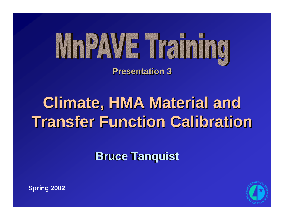

**Presentation 3 Presentation 3**

# **Climate, HMA Material and Transfer Function Calibration**

**Bruce Tanquist** 



**Spring 2002**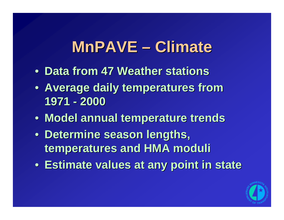# **MnPAVE – Climate**

- **Data from 47 Weather stations Data from 47 Weather stations**
- **Average daily temperatures from 1971 - 2000**
- **Model annual temperature trends Model annual temperature trends**
- Determine season lengths, **temperatures and HMA moduli temperatures and HMA moduli**
- **Estimate values at any point in state Estimate values at any point in state**

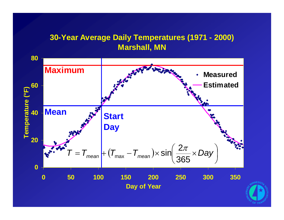### **30-Year Average Daily Temperatures (1971 - 2000) Marshall, MN**



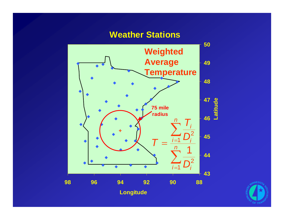### **Weather Stations**



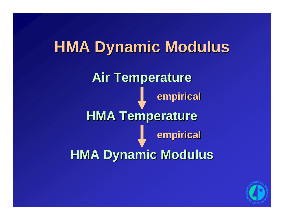# **HMA Dynamic Modulus HMA Dynamic Modulus**

**Air Temperature Air Temperature HMA Temperature HMA Temperature HMA Dynamic Modulus HMA Dynamic Modulus empirical empirical empirical empirical**

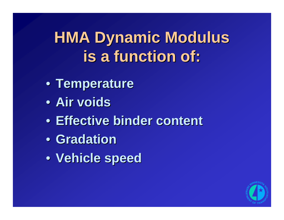# **HMA Dynamic Modulus HMA Dynamic Modulus is a function of: is a function of:**

- **Temperature Temperature**
- **Air voids Air voids**
- **Effective binder content**
- **Gradation Gradation**
- **Vehicle speed Vehicle speed**

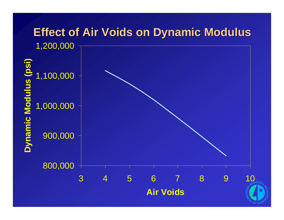### **Effect of Air Voids on Dynamic Modulus Effect of Air Voids on Dynamic Modulus**

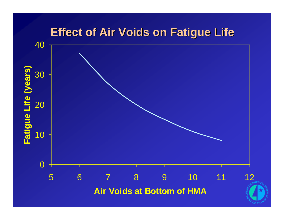### **Effect of Air Voids on Fatigue Life**



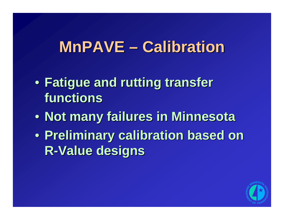### **MnPAVE – Calibration**

- **Fatigue and rutting transfer Fatigue and rutting transfer functions functions**
- **Not many failures in Minnesota**
- **Preliminary calibration based on Preliminary calibration based on R-Value designs Value designs**

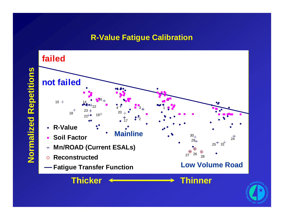#### **R-Value Fatigue Calibration**





Normalized Repetitions **Normalized Repetitions**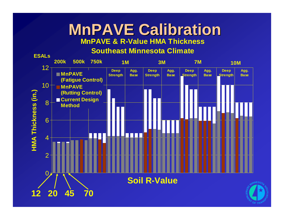### **MnPAVE Calibration MnPAVE Calibration MnPAVE & R-Value HMA Thickness**

#### **Southeast Minnesota Climate**